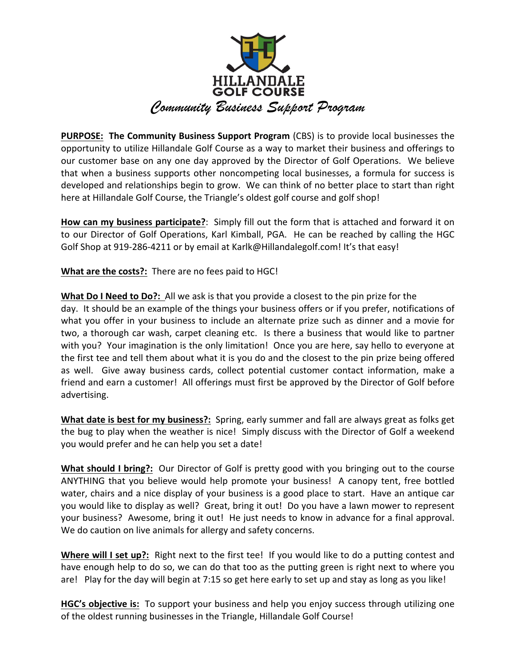

**PURPOSE:** The Community Business Support Program (CBS) is to provide local businesses the opportunity to utilize Hillandale Golf Course as a way to market their business and offerings to our customer base on any one day approved by the Director of Golf Operations. We believe that when a business supports other noncompeting local businesses, a formula for success is developed and relationships begin to grow. We can think of no better place to start than right here at Hillandale Golf Course, the Triangle's oldest golf course and golf shop!

**How can my business participate?**: Simply fill out the form that is attached and forward it on to our Director of Golf Operations, Karl Kimball, PGA. He can be reached by calling the HGC Golf Shop at 919-286-4211 or by email at Karlk@Hillandalegolf.com! It's that easy!

**What are the costs?:** There are no fees paid to HGC!

**What Do I Need to Do?:** All we ask is that you provide a closest to the pin prize for the day. It should be an example of the things your business offers or if you prefer, notifications of what you offer in your business to include an alternate prize such as dinner and a movie for two, a thorough car wash, carpet cleaning etc. Is there a business that would like to partner with you? Your imagination is the only limitation! Once you are here, say hello to everyone at the first tee and tell them about what it is you do and the closest to the pin prize being offered as well. Give away business cards, collect potential customer contact information, make a friend and earn a customer! All offerings must first be approved by the Director of Golf before advertising.

**What date is best for my business?:** Spring, early summer and fall are always great as folks get the bug to play when the weather is nice! Simply discuss with the Director of Golf a weekend you would prefer and he can help you set a date!

**What should I bring?:** Our Director of Golf is pretty good with you bringing out to the course ANYTHING that you believe would help promote your business! A canopy tent, free bottled water, chairs and a nice display of your business is a good place to start. Have an antique car you would like to display as well? Great, bring it out! Do you have a lawn mower to represent your business? Awesome, bring it out! He just needs to know in advance for a final approval. We do caution on live animals for allergy and safety concerns.

**Where will I set up?:** Right next to the first tee! If you would like to do a putting contest and have enough help to do so, we can do that too as the putting green is right next to where you are! Play for the day will begin at 7:15 so get here early to set up and stay as long as you like!

**HGC's objective is:** To support your business and help you enjoy success through utilizing one of the oldest running businesses in the Triangle, Hillandale Golf Course!